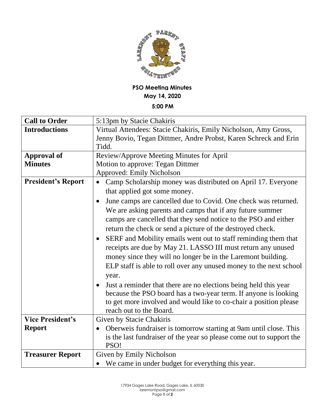

## **PSO Meeting Minutes May 14, 2020 5:00 PM**

| <b>Call to Order</b>      | 5:13pm by Stacie Chakiris                                                   |
|---------------------------|-----------------------------------------------------------------------------|
| <b>Introductions</b>      | Virtual Attendees: Stacie Chakiris, Emily Nicholson, Amy Gross,             |
|                           | Jenny Bovio, Tegan Dittmer, Andre Probst, Karen Schreck and Erin            |
|                           | Tidd.                                                                       |
| <b>Approval of</b>        | Review/Approve Meeting Minutes for April                                    |
| <b>Minutes</b>            | Motion to approve: Tegan Dittmer                                            |
|                           | <b>Approved: Emily Nicholson</b>                                            |
| <b>President's Report</b> | Camp Scholarship money was distributed on April 17. Everyone                |
|                           | that applied got some money.                                                |
|                           | June camps are cancelled due to Covid. One check was returned.              |
|                           | We are asking parents and camps that if any future summer                   |
|                           | camps are cancelled that they send notice to the PSO and either             |
|                           | return the check or send a picture of the destroyed check.                  |
|                           | SERF and Mobility emails went out to staff reminding them that<br>$\bullet$ |
|                           | receipts are due by May 21. LASSO III must return any unused                |
|                           | money since they will no longer be in the Laremont building.                |
|                           | ELP staff is able to roll over any unused money to the next school          |
|                           | year.                                                                       |
|                           | Just a reminder that there are no elections being held this year            |
|                           | because the PSO board has a two-year term. If anyone is looking             |
|                           | to get more involved and would like to co-chair a position please           |
|                           | reach out to the Board.                                                     |
| <b>Vice President's</b>   | Given by Stacie Chakiris                                                    |
| <b>Report</b>             | Oberweis fundraiser is tomorrow starting at 9am until close. This           |
|                           | is the last fundraiser of the year so please come out to support the        |
|                           | PSO!                                                                        |
| <b>Treasurer Report</b>   | Given by Emily Nicholson                                                    |
|                           | We came in under budget for everything this year.                           |